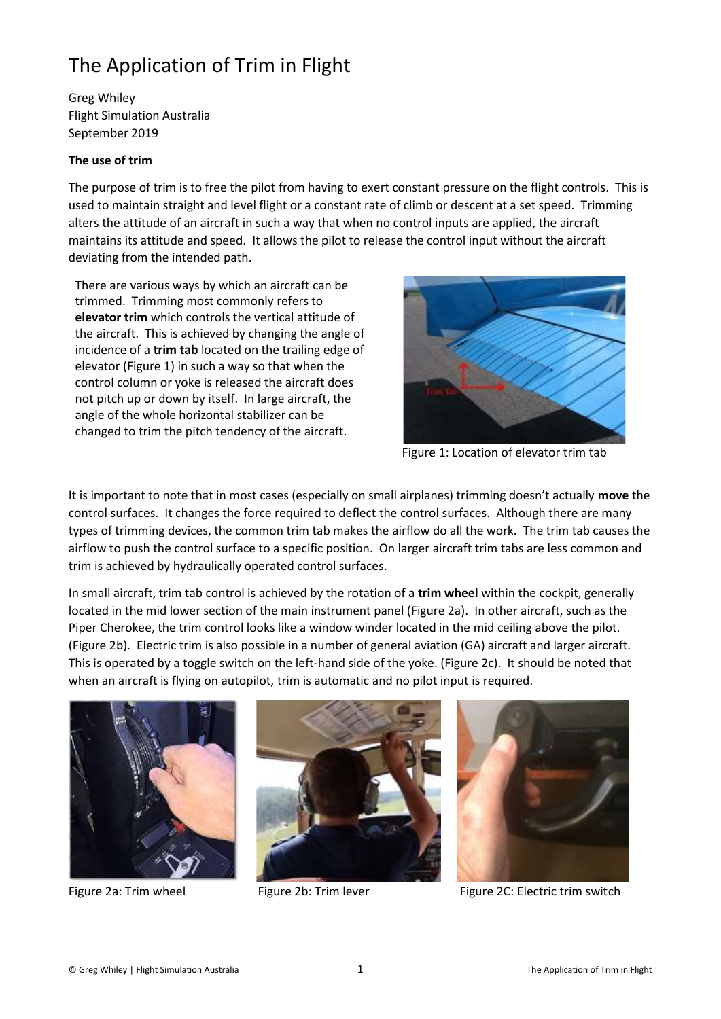## The Application of Trim in Flight

Greg Whiley Flight Simulation Australia September 2019

## **The use of trim**

The purpose of trim is to free the pilot from having to exert constant pressure on the flight controls. This is used to maintain straight and level flight or a constant rate of climb or descent at a set speed. Trimming alters the attitude of an aircraft in such a way that when no control inputs are applied, the aircraft maintains its attitude and speed. It allows the pilot to release the control input without the aircraft deviating from the intended path.

There are various ways by which an aircraft can be trimmed. Trimming most commonly refers to **elevator trim** which controls the vertical attitude of the aircraft. This is achieved by changing the angle of incidence of a **trim tab** located on the trailing edge of elevator (Figure 1) in such a way so that when the control column or yoke is released the aircraft does not pitch up or down by itself. In large aircraft, the angle of the whole horizontal stabilizer can be changed to trim the pitch tendency of the aircraft.



Figure 1: Location of elevator trim tab

It is important to note that in most cases (especially on small airplanes) trimming doesn't actually **move** the control surfaces. It changes the force required to deflect the control surfaces. Although there are many types of trimming devices, the common trim tab makes the airflow do all the work. The trim tab causes the airflow to push the control surface to a specific position. On larger aircraft trim tabs are less common and trim is achieved by hydraulically operated control surfaces.

In small aircraft, trim tab control is achieved by the rotation of a **trim wheel** within the cockpit, generally located in the mid lower section of the main instrument panel (Figure 2a). In other aircraft, such as the Piper Cherokee, the trim control looks like a window winder located in the mid ceiling above the pilot. (Figure 2b). Electric trim is also possible in a number of general aviation (GA) aircraft and larger aircraft. This is operated by a toggle switch on the left-hand side of the yoke. (Figure 2c). It should be noted that when an aircraft is flying on autopilot, trim is automatic and no pilot input is required.







Figure 2a: Trim wheel Figure 2b: Trim lever Figure 2C: Electric trim switch